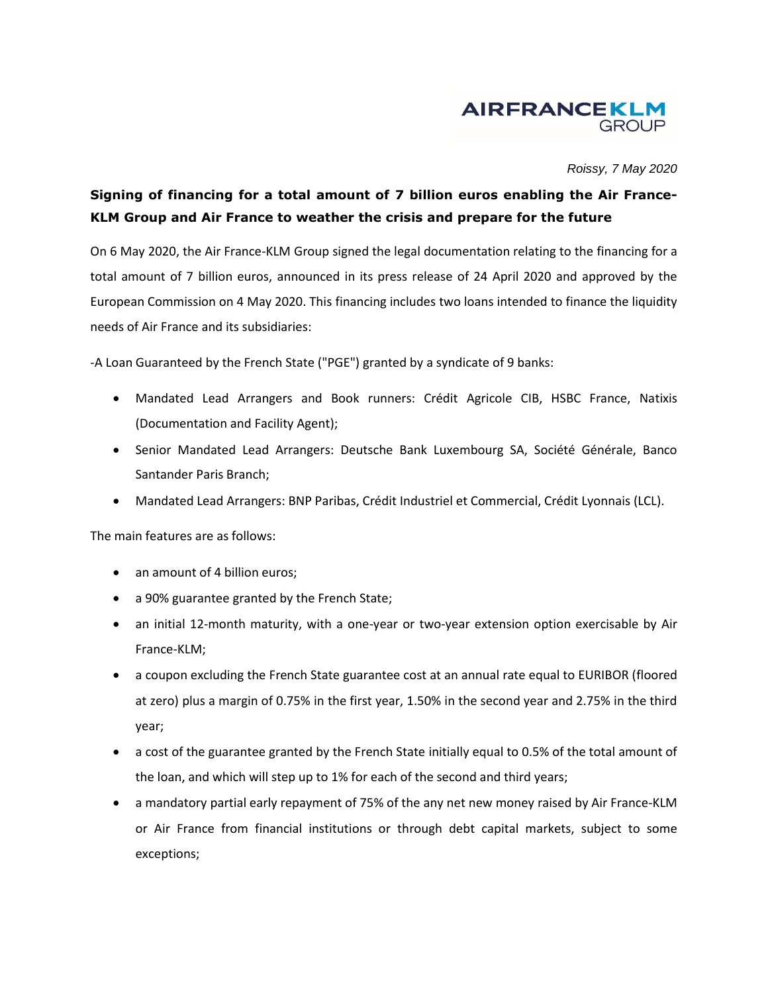

*Roissy, 7 May 2020*

## **Signing of financing for a total amount of 7 billion euros enabling the Air France-KLM Group and Air France to weather the crisis and prepare for the future**

On 6 May 2020, the Air France-KLM Group signed the legal documentation relating to the financing for a total amount of 7 billion euros, announced in its press release of 24 April 2020 and approved by the European Commission on 4 May 2020. This financing includes two loans intended to finance the liquidity needs of Air France and its subsidiaries:

-A Loan Guaranteed by the French State ("PGE") granted by a syndicate of 9 banks:

- Mandated Lead Arrangers and Book runners: Crédit Agricole CIB, HSBC France, Natixis (Documentation and Facility Agent);
- Senior Mandated Lead Arrangers: Deutsche Bank Luxembourg SA, Société Générale, Banco Santander Paris Branch;
- Mandated Lead Arrangers: BNP Paribas, Crédit Industriel et Commercial, Crédit Lyonnais (LCL).

The main features are as follows:

- an amount of 4 billion euros;
- a 90% guarantee granted by the French State;
- an initial 12-month maturity, with a one-year or two-year extension option exercisable by Air France-KLM;
- a coupon excluding the French State guarantee cost at an annual rate equal to EURIBOR (floored at zero) plus a margin of 0.75% in the first year, 1.50% in the second year and 2.75% in the third year;
- a cost of the guarantee granted by the French State initially equal to 0.5% of the total amount of the loan, and which will step up to 1% for each of the second and third years;
- a mandatory partial early repayment of 75% of the any net new money raised by Air France-KLM or Air France from financial institutions or through debt capital markets, subject to some exceptions;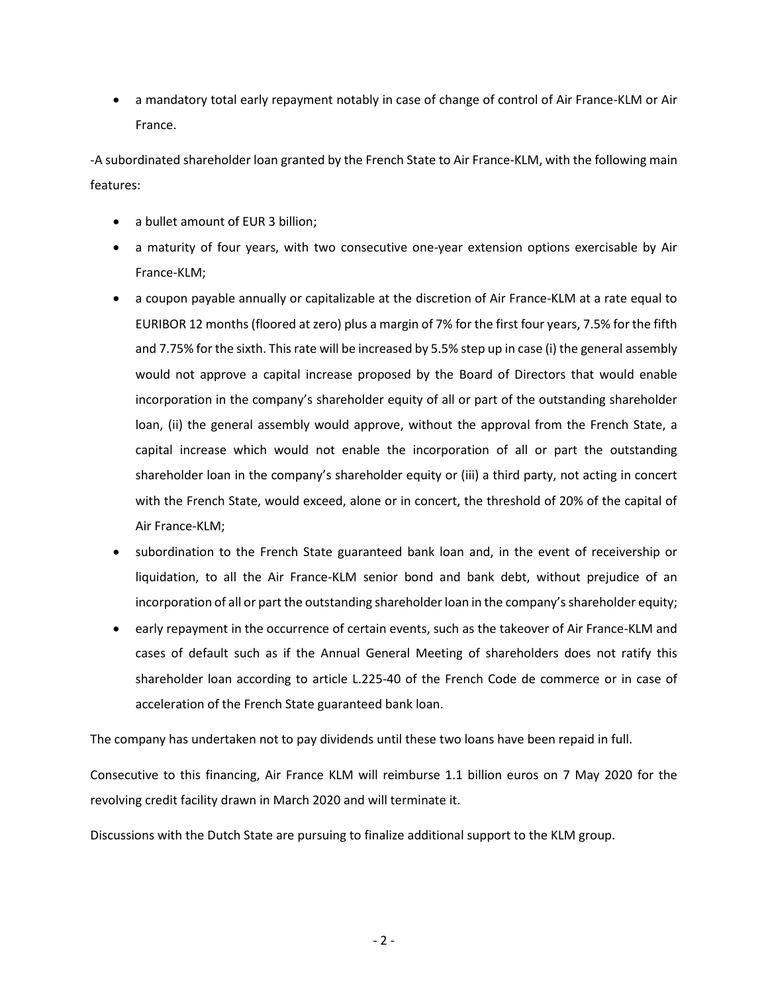a mandatory total early repayment notably in case of change of control of Air France-KLM or Air France.

-A subordinated shareholder loan granted by the French State to Air France-KLM, with the following main features:

- a bullet amount of EUR 3 billion;
- a maturity of four years, with two consecutive one-year extension options exercisable by Air France-KLM;
- a coupon payable annually or capitalizable at the discretion of Air France-KLM at a rate equal to EURIBOR 12 months (floored at zero) plus a margin of 7% for the first four years, 7.5% for the fifth and 7.75% for the sixth. This rate will be increased by 5.5% step up in case (i) the general assembly would not approve a capital increase proposed by the Board of Directors that would enable incorporation in the company's shareholder equity of all or part of the outstanding shareholder loan, (ii) the general assembly would approve, without the approval from the French State, a capital increase which would not enable the incorporation of all or part the outstanding shareholder loan in the company's shareholder equity or (iii) a third party, not acting in concert with the French State, would exceed, alone or in concert, the threshold of 20% of the capital of Air France-KLM;
- subordination to the French State guaranteed bank loan and, in the event of receivership or liquidation, to all the Air France-KLM senior bond and bank debt, without prejudice of an incorporation of all or part the outstanding shareholder loan in the company's shareholder equity;
- early repayment in the occurrence of certain events, such as the takeover of Air France-KLM and cases of default such as if the Annual General Meeting of shareholders does not ratify this shareholder loan according to article L.225-40 of the French Code de commerce or in case of acceleration of the French State guaranteed bank loan.

The company has undertaken not to pay dividends until these two loans have been repaid in full.

Consecutive to this financing, Air France KLM will reimburse 1.1 billion euros on 7 May 2020 for the revolving credit facility drawn in March 2020 and will terminate it.

Discussions with the Dutch State are pursuing to finalize additional support to the KLM group.